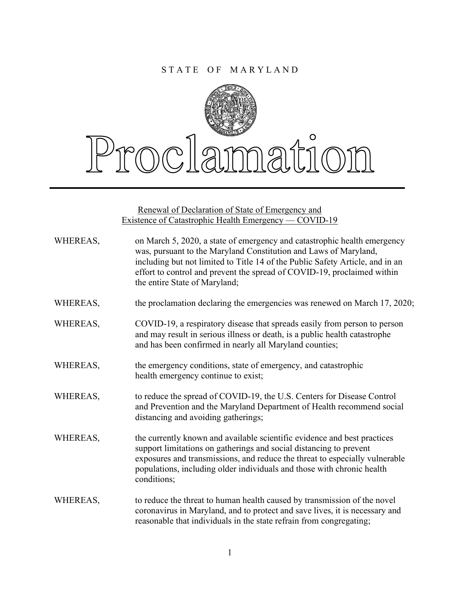## STATE OF MARYLAND



## $\circ$ rnclamatic

Renewal of Declaration of State of Emergency and Existence of Catastrophic Health Emergency — COVID-19

| WHEREAS, | on March 5, 2020, a state of emergency and catastrophic health emergency<br>was, pursuant to the Maryland Constitution and Laws of Maryland,<br>including but not limited to Title 14 of the Public Safety Article, and in an<br>effort to control and prevent the spread of COVID-19, proclaimed within<br>the entire State of Maryland; |
|----------|-------------------------------------------------------------------------------------------------------------------------------------------------------------------------------------------------------------------------------------------------------------------------------------------------------------------------------------------|
| WHEREAS, | the proclamation declaring the emergencies was renewed on March 17, 2020;                                                                                                                                                                                                                                                                 |
| WHEREAS, | COVID-19, a respiratory disease that spreads easily from person to person<br>and may result in serious illness or death, is a public health catastrophe<br>and has been confirmed in nearly all Maryland counties;                                                                                                                        |
| WHEREAS, | the emergency conditions, state of emergency, and catastrophic<br>health emergency continue to exist;                                                                                                                                                                                                                                     |
| WHEREAS, | to reduce the spread of COVID-19, the U.S. Centers for Disease Control<br>and Prevention and the Maryland Department of Health recommend social<br>distancing and avoiding gatherings;                                                                                                                                                    |
| WHEREAS, | the currently known and available scientific evidence and best practices<br>support limitations on gatherings and social distancing to prevent<br>exposures and transmissions, and reduce the threat to especially vulnerable<br>populations, including older individuals and those with chronic health<br>conditions;                    |
| WHEREAS, | to reduce the threat to human health caused by transmission of the novel<br>coronavirus in Maryland, and to protect and save lives, it is necessary and<br>reasonable that individuals in the state refrain from congregating;                                                                                                            |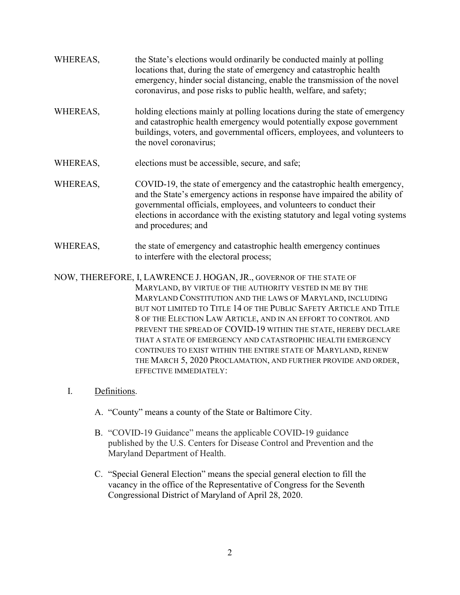| WHEREAS, | the State's elections would ordinarily be conducted mainly at polling<br>locations that, during the state of emergency and catastrophic health<br>emergency, hinder social distancing, enable the transmission of the novel<br>coronavirus, and pose risks to public health, welfare, and safety;                                  |
|----------|------------------------------------------------------------------------------------------------------------------------------------------------------------------------------------------------------------------------------------------------------------------------------------------------------------------------------------|
| WHEREAS, | holding elections mainly at polling locations during the state of emergency<br>and catastrophic health emergency would potentially expose government<br>buildings, voters, and governmental officers, employees, and volunteers to<br>the novel coronavirus;                                                                       |
| WHEREAS, | elections must be accessible, secure, and safe;                                                                                                                                                                                                                                                                                    |
| WHEREAS, | COVID-19, the state of emergency and the catastrophic health emergency,<br>and the State's emergency actions in response have impaired the ability of<br>governmental officials, employees, and volunteers to conduct their<br>elections in accordance with the existing statutory and legal voting systems<br>and procedures; and |
| WHEREAS, | the state of emergency and catastrophic health emergency continues<br>to interfere with the electoral process;                                                                                                                                                                                                                     |
|          | NOW, THEREFORE, I, LAWRENCE J. HOGAN, JR., GOVERNOR OF THE STATE OF<br>MARYLAND, BY VIRTUE OF THE AUTHORITY VESTED IN ME BY THE                                                                                                                                                                                                    |

MARYLAND CONSTITUTION AND THE LAWS OF MARYLAND, INCLUDING BUT NOT LIMITED TO TITLE 14 OF THE PUBLIC SAFETY ARTICLE AND TITLE 8 OF THE ELECTION LAW ARTICLE, AND IN AN EFFORT TO CONTROL AND PREVENT THE SPREAD OF COVID-19 WITHIN THE STATE, HEREBY DECLARE THAT A STATE OF EMERGENCY AND CATASTROPHIC HEALTH EMERGENCY CONTINUES TO EXIST WITHIN THE ENTIRE STATE OF MARYLAND, RENEW THE MARCH 5, 2020 PROCLAMATION, AND FURTHER PROVIDE AND ORDER, EFFECTIVE IMMEDIATELY:

## I. Definitions.

- A. "County" means a county of the State or Baltimore City.
- B. "COVID-19 Guidance" means the applicable COVID-19 guidance published by the U.S. Centers for Disease Control and Prevention and the Maryland Department of Health.
- C. "Special General Election" means the special general election to fill the vacancy in the office of the Representative of Congress for the Seventh Congressional District of Maryland of April 28, 2020.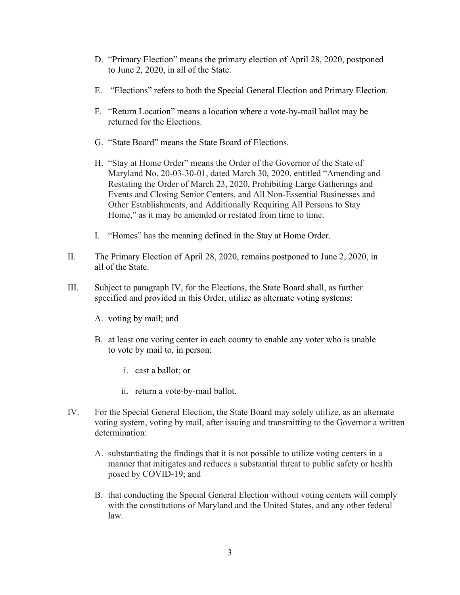- D. "Primary Election" means the primary election of April 28, 2020, postponed to June 2, 2020, in all of the State.
- E. "Elections" refers to both the Special General Election and Primary Election.
- F. "Return Location" means a location where a vote-by-mail ballot may be returned for the Elections.
- G. "State Board" means the State Board of Elections.
- H. "Stay at Home Order" means the Order of the Governor of the State of Maryland No. 20-03-30-01, dated March 30, 2020, entitled "Amending and Restating the Order of March 23, 2020, Prohibiting Large Gatherings and Events and Closing Senior Centers, and All Non-Essential Businesses and Other Establishments, and Additionally Requiring All Persons to Stay Home," as it may be amended or restated from time to time.
- I. "Homes" has the meaning defined in the Stay at Home Order.
- II. The Primary Election of April 28, 2020, remains postponed to June 2, 2020, in all of the State.
- III. Subject to paragraph IV, for the Elections, the State Board shall, as further specified and provided in this Order, utilize as alternate voting systems:
	- A. voting by mail; and
	- B. at least one voting center in each county to enable any voter who is unable to vote by mail to, in person:
		- i. cast a ballot; or
		- ii. return a vote-by-mail ballot.
- IV. For the Special General Election, the State Board may solely utilize, as an alternate voting system, voting by mail, after issuing and transmitting to the Governor a written determination:
	- A. substantiating the findings that it is not possible to utilize voting centers in a manner that mitigates and reduces a substantial threat to public safety or health posed by COVID-19; and
	- B. that conducting the Special General Election without voting centers will comply with the constitutions of Maryland and the United States, and any other federal law.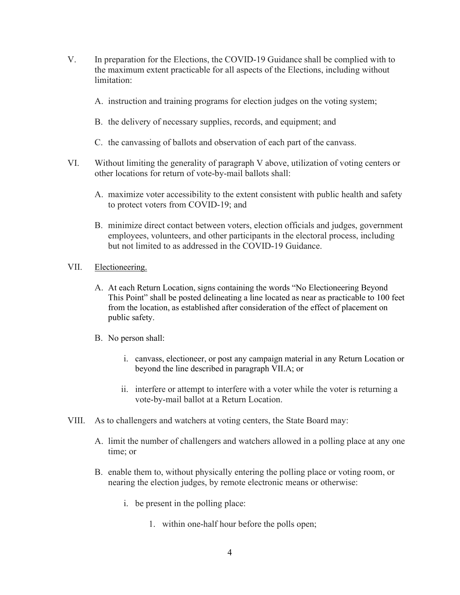- V. In preparation for the Elections, the COVID-19 Guidance shall be complied with to the maximum extent practicable for all aspects of the Elections, including without limitation:
	- A. instruction and training programs for election judges on the voting system;
	- B. the delivery of necessary supplies, records, and equipment; and
	- C. the canvassing of ballots and observation of each part of the canvass.
- VI. Without limiting the generality of paragraph V above, utilization of voting centers or other locations for return of vote-by-mail ballots shall:
	- A. maximize voter accessibility to the extent consistent with public health and safety to protect voters from COVID-19; and
	- B. minimize direct contact between voters, election officials and judges, government employees, volunteers, and other participants in the electoral process, including but not limited to as addressed in the COVID-19 Guidance.
- VII. Electioneering.
	- A. At each Return Location, signs containing the words "No Electioneering Beyond This Point" shall be posted delineating a line located as near as practicable to 100 feet from the location, as established after consideration of the effect of placement on public safety.
	- B. No person shall:
		- i. canvass, electioneer, or post any campaign material in any Return Location or beyond the line described in paragraph VII.A; or
		- ii. interfere or attempt to interfere with a voter while the voter is returning a vote-by-mail ballot at a Return Location.
- VIII. As to challengers and watchers at voting centers, the State Board may:
	- A. limit the number of challengers and watchers allowed in a polling place at any one time; or
	- B. enable them to, without physically entering the polling place or voting room, or nearing the election judges, by remote electronic means or otherwise:
		- i. be present in the polling place:
			- 1. within one-half hour before the polls open;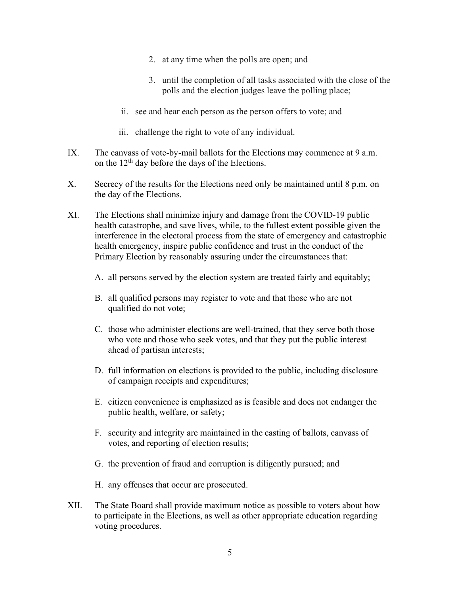- 2. at any time when the polls are open; and
- 3. until the completion of all tasks associated with the close of the polls and the election judges leave the polling place;
- ii. see and hear each person as the person offers to vote; and
- iii. challenge the right to vote of any individual.
- IX. The canvass of vote-by-mail ballots for the Elections may commence at 9 a.m. on the  $12<sup>th</sup>$  day before the days of the Elections.
- X. Secrecy of the results for the Elections need only be maintained until 8 p.m. on the day of the Elections.
- XI. The Elections shall minimize injury and damage from the COVID-19 public health catastrophe, and save lives, while, to the fullest extent possible given the interference in the electoral process from the state of emergency and catastrophic health emergency, inspire public confidence and trust in the conduct of the Primary Election by reasonably assuring under the circumstances that:
	- A. all persons served by the election system are treated fairly and equitably;
	- B. all qualified persons may register to vote and that those who are not qualified do not vote;
	- C. those who administer elections are well-trained, that they serve both those who vote and those who seek votes, and that they put the public interest ahead of partisan interests;
	- D. full information on elections is provided to the public, including disclosure of campaign receipts and expenditures;
	- E. citizen convenience is emphasized as is feasible and does not endanger the public health, welfare, or safety;
	- F. security and integrity are maintained in the casting of ballots, canvass of votes, and reporting of election results;
	- G. the prevention of fraud and corruption is diligently pursued; and
	- H. any offenses that occur are prosecuted.
- XII. The State Board shall provide maximum notice as possible to voters about how to participate in the Elections, as well as other appropriate education regarding voting procedures.